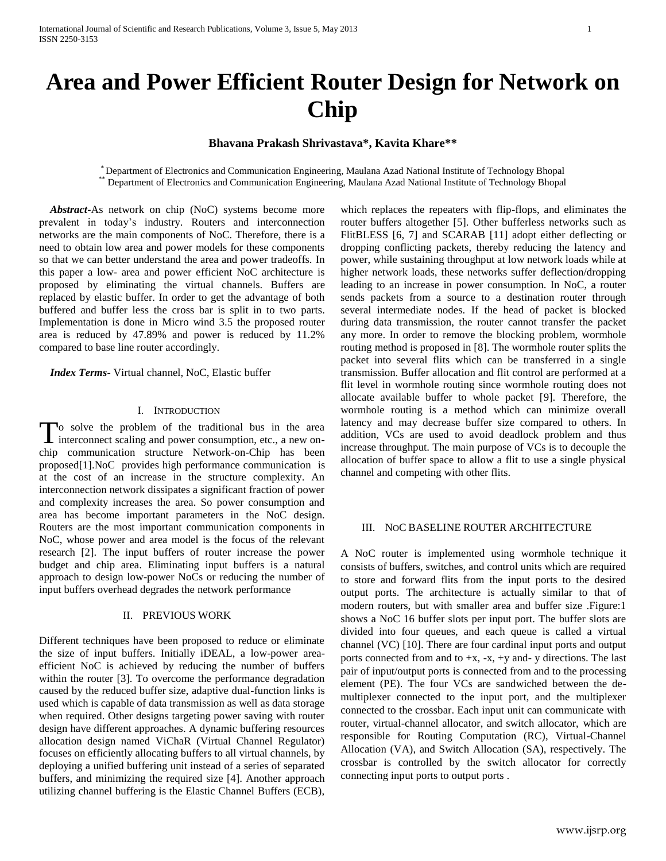# **Area and Power Efficient Router Design for Network on Chip**

# **Bhavana Prakash Shrivastava\*, Kavita Khare\*\***

\* Department of Electronics and Communication Engineering, Maulana Azad National Institute of Technology Bhopal \*\* Department of Electronics and Communication Engineering, Maulana Azad National Institute of Technology Bhopal

 *Abstract***-**As network on chip (NoC) systems become more prevalent in today's industry. Routers and interconnection networks are the main components of NoC. Therefore, there is a need to obtain low area and power models for these components so that we can better understand the area and power tradeoffs. In this paper a low- area and power efficient NoC architecture is proposed by eliminating the virtual channels. Buffers are replaced by elastic buffer. In order to get the advantage of both buffered and buffer less the cross bar is split in to two parts. Implementation is done in Micro wind 3.5 the proposed router area is reduced by 47.89% and power is reduced by 11.2% compared to base line router accordingly.

 *Index Terms*- Virtual channel, NoC, Elastic buffer

#### I. INTRODUCTION

To solve the problem of the traditional bus in the area To solve the problem of the traditional bus in the area<br>interconnect scaling and power consumption, etc., a new onchip communication structure Network-on-Chip has been proposed[1].NoC provides high performance communication is at the cost of an increase in the structure complexity. An interconnection network dissipates a significant fraction of power and complexity increases the area. So power consumption and area has become important parameters in the NoC design. Routers are the most important communication components in NoC, whose power and area model is the focus of the relevant research [2]. The input buffers of router increase the power budget and chip area. Eliminating input buffers is a natural approach to design low-power NoCs or reducing the number of input buffers overhead degrades the network performance

## II. PREVIOUS WORK

Different techniques have been proposed to reduce or eliminate the size of input buffers. Initially iDEAL, a low-power areaefficient NoC is achieved by reducing the number of buffers within the router [3]. To overcome the performance degradation caused by the reduced buffer size, adaptive dual-function links is used which is capable of data transmission as well as data storage when required. Other designs targeting power saving with router design have different approaches. A dynamic buffering resources allocation design named ViChaR (Virtual Channel Regulator) focuses on efficiently allocating buffers to all virtual channels, by deploying a unified buffering unit instead of a series of separated buffers, and minimizing the required size [4]. Another approach utilizing channel buffering is the Elastic Channel Buffers (ECB),

which replaces the repeaters with flip-flops, and eliminates the router buffers altogether [5]. Other bufferless networks such as FlitBLESS [6, 7] and SCARAB [11] adopt either deflecting or dropping conflicting packets, thereby reducing the latency and power, while sustaining throughput at low network loads while at higher network loads, these networks suffer deflection/dropping leading to an increase in power consumption. In NoC, a router sends packets from a source to a destination router through several intermediate nodes. If the head of packet is blocked during data transmission, the router cannot transfer the packet any more. In order to remove the blocking problem, wormhole routing method is proposed in [8]. The wormhole router splits the packet into several flits which can be transferred in a single transmission. Buffer allocation and flit control are performed at a flit level in wormhole routing since wormhole routing does not allocate available buffer to whole packet [9]. Therefore, the wormhole routing is a method which can minimize overall latency and may decrease buffer size compared to others. In addition, VCs are used to avoid deadlock problem and thus increase throughput. The main purpose of VCs is to decouple the allocation of buffer space to allow a flit to use a single physical channel and competing with other flits.

#### III. NOC BASELINE ROUTER ARCHITECTURE

A NoC router is implemented using wormhole technique it consists of buffers, switches, and control units which are required to store and forward flits from the input ports to the desired output ports. The architecture is actually similar to that of modern routers, but with smaller area and buffer size .Figure:1 shows a NoC 16 buffer slots per input port. The buffer slots are divided into four queues, and each queue is called a virtual channel (VC) [10]. There are four cardinal input ports and output ports connected from and to  $+x$ ,  $-x$ ,  $+y$  and- y directions. The last pair of input/output ports is connected from and to the processing element (PE). The four VCs are sandwiched between the demultiplexer connected to the input port, and the multiplexer connected to the crossbar. Each input unit can communicate with router, virtual-channel allocator, and switch allocator, which are responsible for Routing Computation (RC), Virtual-Channel Allocation (VA), and Switch Allocation (SA), respectively. The crossbar is controlled by the switch allocator for correctly connecting input ports to output ports .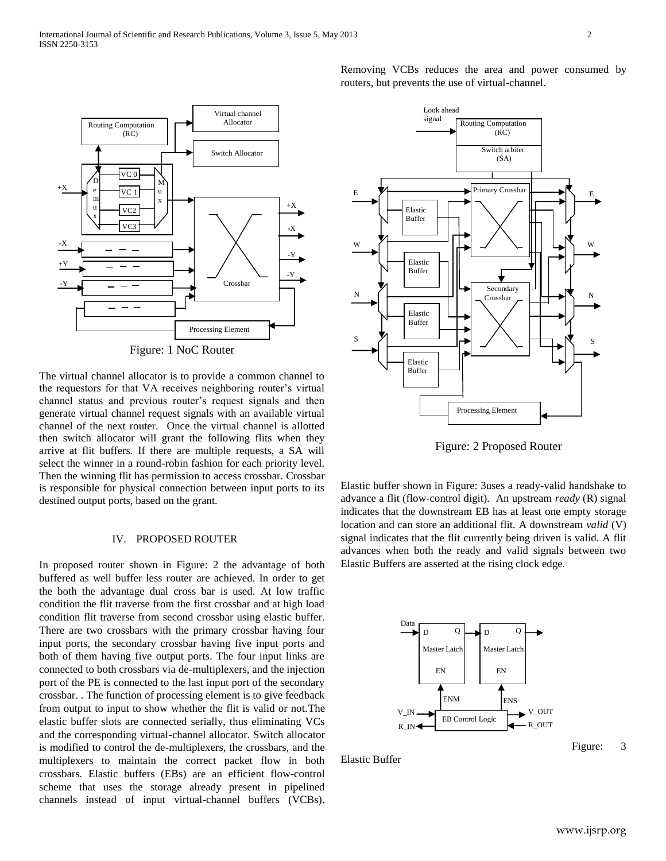

Figure: 1 NoC Router

The virtual channel allocator is to provide a common channel to the requestors for that VA receives neighboring router's virtual channel status and previous router's request signals and then generate virtual channel request signals with an available virtual channel of the next router. Once the virtual channel is allotted then switch allocator will grant the following flits when they arrive at flit buffers. If there are multiple requests, a SA will select the winner in a round-robin fashion for each priority level. Then the winning flit has permission to access crossbar. Crossbar is responsible for physical connection between input ports to its destined output ports, based on the grant.

# IV. PROPOSED ROUTER

In proposed router shown in Figure: 2 the advantage of both buffered as well buffer less router are achieved. In order to get the both the advantage dual cross bar is used. At low traffic condition the flit traverse from the first crossbar and at high load condition flit traverse from second crossbar using elastic buffer. There are two crossbars with the primary crossbar having four input ports, the secondary crossbar having five input ports and both of them having five output ports. The four input links are connected to both crossbars via de-multiplexers, and the injection port of the PE is connected to the last input port of the secondary crossbar. . The function of processing element is to give feedback from output to input to show whether the flit is valid or not.The elastic buffer slots are connected serially, thus eliminating VCs and the corresponding virtual-channel allocator. Switch allocator is modified to control the de-multiplexers, the crossbars, and the multiplexers to maintain the correct packet flow in both crossbars. Elastic buffers (EBs) are an efficient flow-control scheme that uses the storage already present in pipelined channels instead of input virtual-channel buffers (VCBs).

Removing VCBs reduces the area and power consumed by routers, but prevents the use of virtual-channel.



Figure: 2 Proposed Router

Elastic buffer shown in Figure: 3uses a ready-valid handshake to advance a flit (flow-control digit). An upstream *ready* (R) signal indicates that the downstream EB has at least one empty storage location and can store an additional flit. A downstream *valid* (V) signal indicates that the flit currently being driven is valid. A flit advances when both the ready and valid signals between two Elastic Buffers are asserted at the rising clock edge.



Elastic Buffer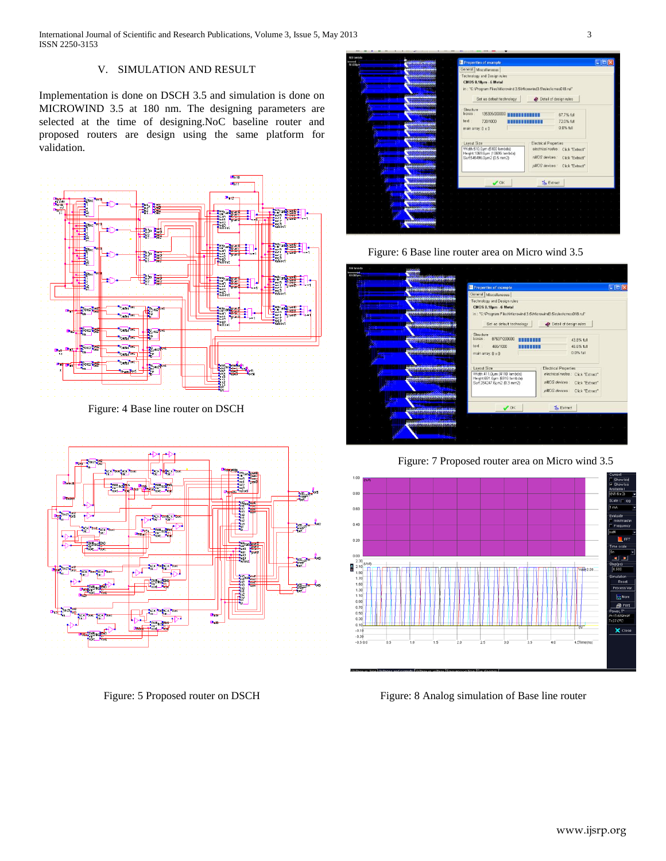# V. SIMULATION AND RESULT

Implementation is done on DSCH 3.5 and simulation is done on MICROWIND 3.5 at 180 nm. The designing parameters are selected at the time of designing.NoC baseline router and proposed routers are design using the same platform for validation.



Figure: 4 Base line router on DSCH



Figure: 5 Proposed router on DSCH



Figure: 6 Base line router area on Micro wind 3.5

#### all M CMOS 0.18um - 6 Metal 018.rul<sup>\*</sup> \*C:\Program Files\Mi Set as default technology Detail of design rules 43.8% full 46.6% full<br>0.0% full text 466/1000 **HILLIER** ain array: 0 x 0 Layout Size<br>Width:411.0µm (4110 Iam<br>Height 691.6µm (6916 Ian<br>Surf:284247.6µm2 (0.3 m fes: Click "Extract" nMOS devices : Click "Extract" pMOS devices : Click "Extract"  $\lesssim_{b}$  Extract

Figure: 7 Proposed router area on Micro wind 3.5



Figure: 8 Analog simulation of Base line router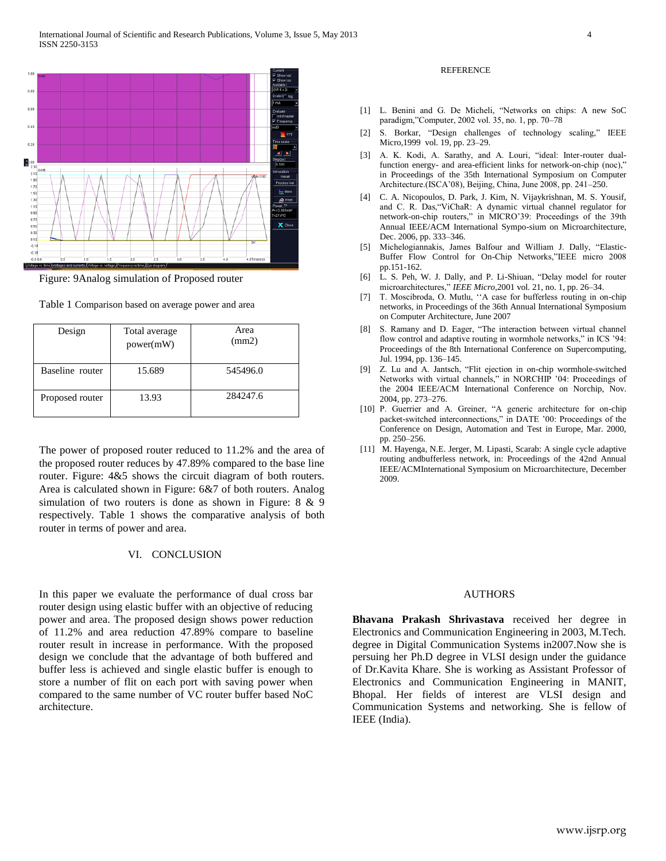

Figure: 9Analog simulation of Proposed router

Table 1 Comparison based on average power and area

| Design          | Total average<br>power(mW) | Area<br>(mm2) |
|-----------------|----------------------------|---------------|
| Baseline router | 15.689                     | 545496.0      |
| Proposed router | 13.93                      | 284247.6      |

The power of proposed router reduced to 11.2% and the area of the proposed router reduces by 47.89% compared to the base line router. Figure: 4&5 shows the circuit diagram of both routers. Area is calculated shown in Figure: 6&7 of both routers. Analog simulation of two routers is done as shown in Figure: 8 & 9 respectively. Table 1 shows the comparative analysis of both router in terms of power and area.

# VI. CONCLUSION

In this paper we evaluate the performance of dual cross bar router design using elastic buffer with an objective of reducing power and area. The proposed design shows power reduction of 11.2% and area reduction 47.89% compare to baseline router result in increase in performance. With the proposed design we conclude that the advantage of both buffered and buffer less is achieved and single elastic buffer is enough to store a number of flit on each port with saving power when compared to the same number of VC router buffer based NoC architecture.

#### **REFERENCE**

- [1] L. Benini and G. De Micheli, "Networks on chips: A new SoC paradigm,"Computer, 2002 vol. 35, no. 1, pp. 70–78
- [2] S. Borkar, "Design challenges of technology scaling," IEEE Micro,1999 vol. 19, pp. 23–29.
- [3] A. K. Kodi, A. Sarathy, and A. Louri, "ideal: Inter-router dualfunction energy- and area-efficient links for network-on-chip (noc)," in Proceedings of the 35th International Symposium on Computer Architecture.(ISCA'08), Beijing, China, June 2008, pp. 241–250.
- [4] C. A. Nicopoulos, D. Park, J. Kim, N. Vijaykrishnan, M. S. Yousif, and C. R. Das,"ViChaR: A dynamic virtual channel regulator for network-on-chip routers," in MICRO'39: Proceedings of the 39th Annual IEEE/ACM International Sympo-sium on Microarchitecture, Dec. 2006, pp. 333–346.
- [5] Michelogiannakis, James Balfour and William J. Dally, "Elastic-Buffer Flow Control for On-Chip Networks,"IEEE micro 2008 pp.151-162.
- [6] L. S. Peh, W. J. Dally, and P. Li-Shiuan, "Delay model for router microarchitectures," *IEEE Micro*,2001 vol. 21, no. 1, pp. 26–34.
- [7] T. Moscibroda, O. Mutlu, ''A case for bufferless routing in on-chip networks, in Proceedings of the 36th Annual International Symposium on Computer Architecture, June 2007
- [8] S. Ramany and D. Eager, "The interaction between virtual channel flow control and adaptive routing in wormhole networks," in ICS '94: Proceedings of the 8th International Conference on Supercomputing, Jul. 1994, pp. 136–145.
- [9] Z. Lu and A. Jantsch, "Flit ejection in on-chip wormhole-switched Networks with virtual channels," in NORCHIP '04: Proceedings of the 2004 IEEE/ACM International Conference on Norchip, Nov. 2004, pp. 273–276.
- [10] P. Guerrier and A. Greiner, "A generic architecture for on-chip packet-switched interconnections," in DATE '00: Proceedings of the Conference on Design, Automation and Test in Europe, Mar. 2000, pp. 250–256.
- [11] M. Hayenga, N.E. Jerger, M. Lipasti, Scarab: A single cycle adaptive routing andbufferless network, in: Proceedings of the 42nd Annual IEEE/ACMInternational Symposium on Microarchitecture, December 2009.

### AUTHORS

**Bhavana Prakash Shrivastava** received her degree in Electronics and Communication Engineering in 2003, M.Tech. degree in Digital Communication Systems in2007.Now she is persuing her Ph.D degree in VLSI design under the guidance of Dr.Kavita Khare. She is working as Assistant Professor of Electronics and Communication Engineering in MANIT, Bhopal. Her fields of interest are VLSI design and Communication Systems and networking. She is fellow of IEEE (India).